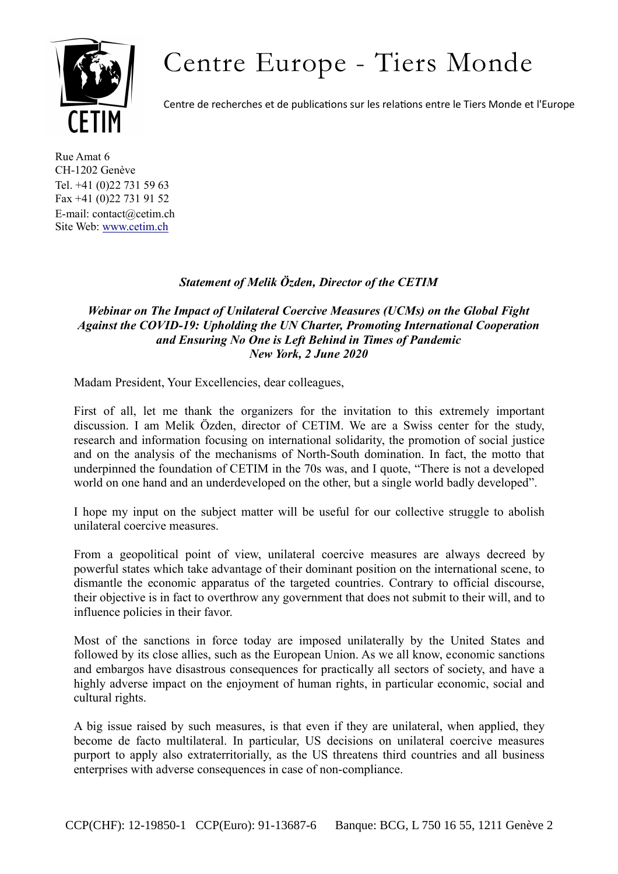## Centre Europe - Tiers Monde



Centre de recherches et de publications sur les relations entre le Tiers Monde et l'Europe

Rue Amat 6 CH-1202 Genève Tel. +41 (0)22 731 59 63 Fax +41 (0)22 731 91 52 E-mail: contact@cetim.ch Site Web: www.cetim.ch

## *Statement of Melik Özden, Director of the CETIM*

## *Webinar on The Impact of Unilateral Coercive Measures (UCMs) on the Global Fight Against the COVID-19: Upholding the UN Charter, Promoting International Cooperation and Ensuring No One is Left Behind in Times of Pandemic New York, 2 June 2020*

Madam President, Your Excellencies, dear colleagues,

First of all, let me thank the organizers for the invitation to this extremely important discussion. I am Melik Özden, director of CETIM. We are a Swiss center for the study, research and information focusing on international solidarity, the promotion of social justice and on the analysis of the mechanisms of North-South domination. In fact, the motto that underpinned the foundation of CETIM in the 70s was, and I quote, "There is not a developed world on one hand and an underdeveloped on the other, but a single world badly developed".

I hope my input on the subject matter will be useful for our collective struggle to abolish unilateral coercive measures.

From a geopolitical point of view, unilateral coercive measures are always decreed by powerful states which take advantage of their dominant position on the international scene, to dismantle the economic apparatus of the targeted countries. Contrary to official discourse, their objective is in fact to overthrow any government that does not submit to their will, and to influence policies in their favor.

Most of the sanctions in force today are imposed unilaterally by the United States and followed by its close allies, such as the European Union. As we all know, economic sanctions and embargos have disastrous consequences for practically all sectors of society, and have a highly adverse impact on the enjoyment of human rights, in particular economic, social and cultural rights.

A big issue raised by such measures, is that even if they are unilateral, when applied, they become de facto multilateral. In particular, US decisions on unilateral coercive measures purport to apply also extraterritorially, as the US threatens third countries and all business enterprises with adverse consequences in case of non-compliance.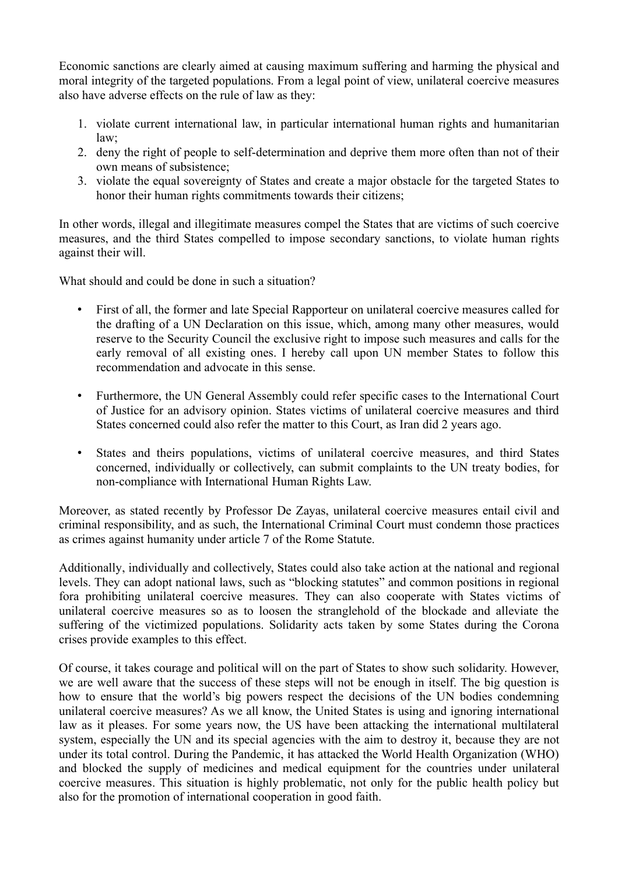Economic sanctions are clearly aimed at causing maximum suffering and harming the physical and moral integrity of the targeted populations. From a legal point of view, unilateral coercive measures also have adverse effects on the rule of law as they:

- 1. violate current international law, in particular international human rights and humanitarian law;
- 2. deny the right of people to self-determination and deprive them more often than not of their own means of subsistence;
- 3. violate the equal sovereignty of States and create a major obstacle for the targeted States to honor their human rights commitments towards their citizens;

In other words, illegal and illegitimate measures compel the States that are victims of such coercive measures, and the third States compelled to impose secondary sanctions, to violate human rights against their will.

What should and could be done in such a situation?

- First of all, the former and late Special Rapporteur on unilateral coercive measures called for the drafting of a UN Declaration on this issue, which, among many other measures, would reserve to the Security Council the exclusive right to impose such measures and calls for the early removal of all existing ones. I hereby call upon UN member States to follow this recommendation and advocate in this sense.
- Furthermore, the UN General Assembly could refer specific cases to the International Court of Justice for an advisory opinion. States victims of unilateral coercive measures and third States concerned could also refer the matter to this Court, as Iran did 2 years ago.
- States and theirs populations, victims of unilateral coercive measures, and third States concerned, individually or collectively, can submit complaints to the UN treaty bodies, for non-compliance with International Human Rights Law.

Moreover, as stated recently by Professor De Zayas, unilateral coercive measures entail civil and criminal responsibility, and as such, the International Criminal Court must condemn those practices as crimes against humanity under article 7 of the Rome Statute.

Additionally, individually and collectively, States could also take action at the national and regional levels. They can adopt national laws, such as "blocking statutes" and common positions in regional fora prohibiting unilateral coercive measures. They can also cooperate with States victims of unilateral coercive measures so as to loosen the stranglehold of the blockade and alleviate the suffering of the victimized populations. Solidarity acts taken by some States during the Corona crises provide examples to this effect.

Of course, it takes courage and political will on the part of States to show such solidarity. However, we are well aware that the success of these steps will not be enough in itself. The big question is how to ensure that the world's big powers respect the decisions of the UN bodies condemning unilateral coercive measures? As we all know, the United States is using and ignoring international law as it pleases. For some years now, the US have been attacking the international multilateral system, especially the UN and its special agencies with the aim to destroy it, because they are not under its total control. During the Pandemic, it has attacked the World Health Organization (WHO) and blocked the supply of medicines and medical equipment for the countries under unilateral coercive measures. This situation is highly problematic, not only for the public health policy but also for the promotion of international cooperation in good faith.